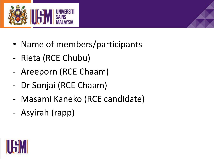

- Name of members/participants
- Rieta (RCE Chubu)
- Areeporn (RCE Chaam)
- Dr Sonjai (RCE Chaam)
- Masami Kaneko (RCE candidate)
- Asyirah (rapp)

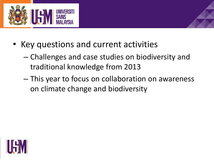

- Key questions and current activities
	- Challenges and case studies on biodiversity and traditional knowledge from 2013
	- This year to focus on collaboration on awareness on climate change and biodiversity

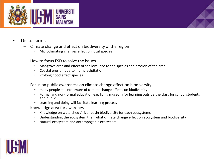

- Discussions
	- Climate change and effect on biodiversity of the region
		- Microclimating changes effect on local species
	- How to focus ESD to solve the issues
		- Mangrove area and effect of sea level rise to the species and erosion of the area
		- Coastal erosion due to high precipitation
		- Prolong flood effect species
	- Focus on public awareness on climate change effect on biodiversity
		- many people still not aware of climate change effects on biodiversity
		- Formal and non-formal education e.g. living museum for learning outside the class for school students and public
		- Learning and doing will facilitate learning process
	- Knowledge area for awareness
		- Knowledge on watershed / river basin biodiversity for each ecosystems
		- Understanding the ecosystem then what climate change effect on ecosystem and biodiversity
		- Natural ecosystem and anthropogenic ecosystem

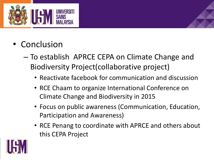

- Conclusion
	- To establish APRCE CEPA on Climate Change and Biodiversity Project(collaborative project)
		- Reactivate facebook for communication and discussion
		- RCE Chaam to organize International Conference on Climate Change and Biodiversity in 2015
		- Focus on public awareness (Communication, Education, Participation and Awareness)
		- RCE Penang to coordinate with APRCE and others about this CEPA Project